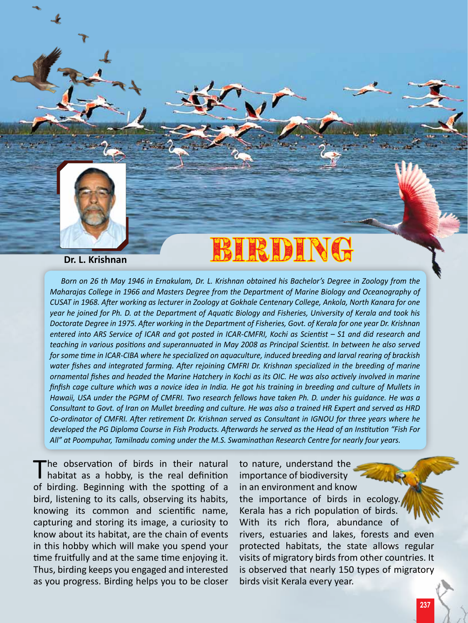

## Dr. L. Krishnan BIRDING

*Born on 26 th May 1946 in Ernakulam, Dr. L. Krishnan obtained his Bachelor's Degree in Zoology from the Maharajas College in 1966 and Masters Degree from the Department of Marine Biology and Oceanography of CUSAT in 1968. After working as lecturer in Zoology at Gokhale Centenary College, Ankola, North Kanara for one year he joined for Ph. D. at the Department of Aquatic Biology and Fisheries, University of Kerala and took his Doctorate Degree in 1975. After working in the Department of Fisheries, Govt. of Kerala for one year Dr. Krishnan entered into ARS Service of ICAR and got posted in ICAR-CMFRI, Kochi as Scientist – S1 and did research and teaching in various positions and superannuated in May 2008 as Principal Scientist. In between he also served for some time in ICAR-CIBA where he specialized on aquaculture, induced breeding and larval rearing of brackish water fishes and integrated farming. After rejoining CMFRI Dr. Krishnan specialized in the breeding of marine ornamental fishes and headed the Marine Hatchery in Kochi as its OIC. He was also actively involved in marine finfish cage culture which was a novice idea in India. He got his training in breeding and culture of Mullets in Hawaii, USA under the PGPM of CMFRI. Two research fellows have taken Ph. D. under his guidance. He was a Consultant to Govt. of Iran on Mullet breeding and culture. He was also a trained HR Expert and served as HRD Co-ordinator of CMFRI. After retirement Dr. Krishnan served as Consultant in IGNOU for three years where he developed the PG Diploma Course in Fish Products. Afterwards he served as the Head of an Institution "Fish For All" at Poompuhar, Tamilnadu coming under the M.S. Swaminathan Research Centre for nearly four years.*

The observation of birds in their natural<br>habitat as a hobby, is the real definition of birding. Beginning with the spotting of a bird, listening to its calls, observing its habits, knowing its common and scientific name, capturing and storing its image, a curiosity to know about its habitat, are the chain of events in this hobby which will make you spend your time fruitfully and at the same time enjoying it. Thus, birding keeps you engaged and interested as you progress. Birding helps you to be closer

to nature, understand the importance of biodiversity in an environment and know the importance of birds in ecology. Kerala has a rich population of birds. With its rich flora, abundance of rivers, estuaries and lakes, forests and even protected habitats, the state allows regular visits of migratory birds from other countries. It is observed that nearly 150 types of migratory birds visit Kerala every year.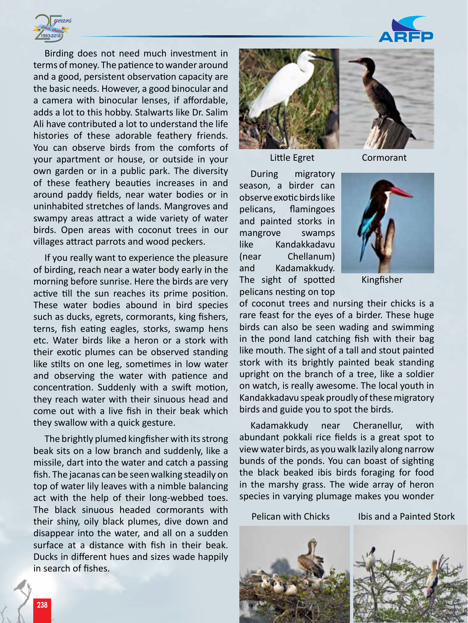

Birding does not need much investment in terms of money. The patience to wander around and a good, persistent observation capacity are the basic needs. However, a good binocular and a camera with binocular lenses, if affordable, adds a lot to this hobby. Stalwarts like Dr. Salim Ali have contributed a lot to understand the life histories of these adorable feathery friends. You can observe birds from the comforts of your apartment or house, or outside in your own garden or in a public park. The diversity of these feathery beauties increases in and around paddy fields, near water bodies or in uninhabited stretches of lands. Mangroves and swampy areas attract a wide variety of water birds. Open areas with coconut trees in our villages attract parrots and wood peckers.

If you really want to experience the pleasure of birding, reach near a water body early in the morning before sunrise. Here the birds are very active till the sun reaches its prime position. These water bodies abound in bird species such as ducks, egrets, cormorants, king fishers, terns, fish eating eagles, storks, swamp hens etc. Water birds like a heron or a stork with their exotic plumes can be observed standing like stilts on one leg, sometimes in low water and observing the water with patience and concentration. Suddenly with a swift motion, they reach water with their sinuous head and come out with a live fish in their beak which they swallow with a quick gesture.

The brightly plumed kingfisher with its strong beak sits on a low branch and suddenly, like a missile, dart into the water and catch a passing fish. The jacanas can be seen walking steadily on top of water lily leaves with a nimble balancing act with the help of their long-webbed toes. The black sinuous headed cormorants with their shiny, oily black plumes, dive down and disappear into the water, and all on a sudden surface at a distance with fish in their beak. Ducks in different hues and sizes wade happily in search of fishes.





Little Egret

Cormorant

During migratory season, a birder can observe exotic birds like pelicans, flamingoes and painted storks in mangrove swamps like Kandakkadavu (near Chellanum) and Kadamakkudy. The sight of spotted pelicans nesting on top



Kingfisher

of coconut trees and nursing their chicks is a rare feast for the eyes of a birder. These huge birds can also be seen wading and swimming in the pond land catching fish with their bag like mouth. The sight of a tall and stout painted stork with its brightly painted beak standing upright on the branch of a tree, like a soldier on watch, is really awesome. The local youth in Kandakkadavu speak proudly of these migratory birds and guide you to spot the birds.

Kadamakkudy near Cheranellur, with abundant pokkali rice fields is a great spot to view water birds, as you walk lazily along narrow bunds of the ponds. You can boast of sighting the black beaked ibis birds foraging for food in the marshy grass. The wide array of heron species in varying plumage makes you wonder

Pelican with Chicks Ibis and a Painted Stork



**238**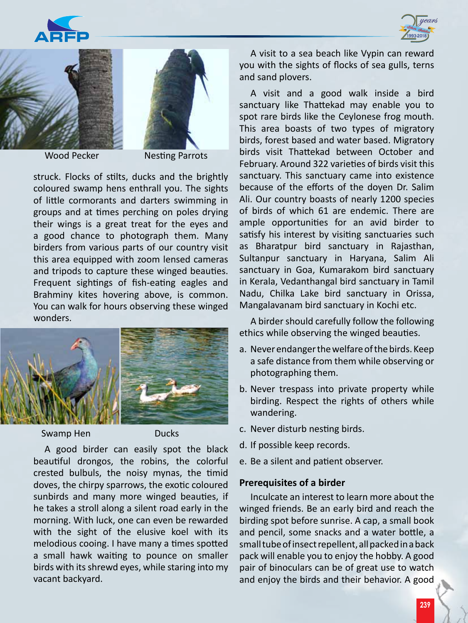







Wood Pecker Nesting Parrots

struck. Flocks of stilts, ducks and the brightly coloured swamp hens enthrall you. The sights of little cormorants and darters swimming in groups and at times perching on poles drying their wings is a great treat for the eyes and a good chance to photograph them. Many birders from various parts of our country visit this area equipped with zoom lensed cameras and tripods to capture these winged beauties. Frequent sightings of fish-eating eagles and Brahminy kites hovering above, is common. You can walk for hours observing these winged wonders.



Swamp Hen Ducks

A good birder can easily spot the black beautiful drongos, the robins, the colorful crested bulbuls, the noisy mynas, the timid doves, the chirpy sparrows, the exotic coloured sunbirds and many more winged beauties, if he takes a stroll along a silent road early in the morning. With luck, one can even be rewarded with the sight of the elusive koel with its melodious cooing. I have many a times spotted a small hawk waiting to pounce on smaller birds with its shrewd eyes, while staring into my vacant backyard.

A visit to a sea beach like Vypin can reward you with the sights of flocks of sea gulls, terns and sand plovers.

A visit and a good walk inside a bird sanctuary like Thattekad may enable you to spot rare birds like the Ceylonese frog mouth. This area boasts of two types of migratory birds, forest based and water based. Migratory birds visit Thattekad between October and February. Around 322 varieties of birds visit this sanctuary. This sanctuary came into existence because of the efforts of the doyen Dr. Salim Ali. Our country boasts of nearly 1200 species of birds of which 61 are endemic. There are ample opportunities for an avid birder to satisfy his interest by visiting sanctuaries such as Bharatpur bird sanctuary in Rajasthan, Sultanpur sanctuary in Haryana, Salim Ali sanctuary in Goa, Kumarakom bird sanctuary in Kerala, Vedanthangal bird sanctuary in Tamil Nadu, Chilka Lake bird sanctuary in Orissa, Mangalavanam bird sanctuary in Kochi etc.

A birder should carefully follow the following ethics while observing the winged beauties.

- a. Never endanger the welfare of the birds. Keep a safe distance from them while observing or photographing them.
- b. Never trespass into private property while birding. Respect the rights of others while wandering.
- c. Never disturb nesting birds.
- d. If possible keep records.
- e. Be a silent and patient observer.

## **Prerequisites of a birder**

Inculcate an interest to learn more about the winged friends. Be an early bird and reach the birding spot before sunrise. A cap, a small book and pencil, some snacks and a water bottle, a small tube of insect repellent, all packed in a back pack will enable you to enjoy the hobby. A good pair of binoculars can be of great use to watch and enjoy the birds and their behavior. A good